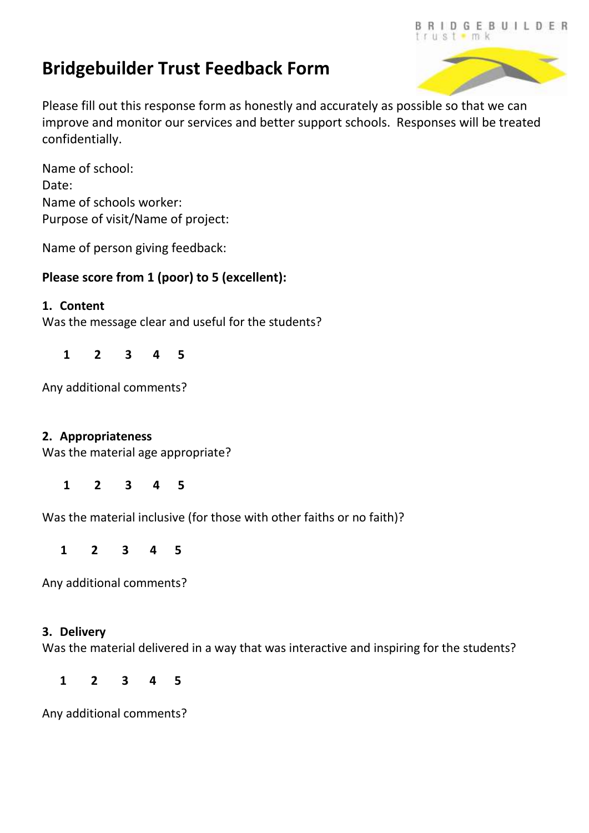# **Bridgebuilder Trust Feedback Form**



Please fill out this response form as honestly and accurately as possible so that we can improve and monitor our services and better support schools. Responses will be treated confidentially.

Name of school: Date: Name of schools worker: Purpose of visit/Name of project:

Name of person giving feedback:

# **Please score from 1 (poor) to 5 (excellent):**

### **1. Content**

Was the message clear and useful for the students?

 **1 2 3 4 5**

Any additional comments?

#### **2. Appropriateness**

Was the material age appropriate?

 **1 2 3 4 5**

Was the material inclusive (for those with other faiths or no faith)?

 **1 2 3 4 5**

Any additional comments?

#### **3. Delivery**

Was the material delivered in a way that was interactive and inspiring for the students?

**1 2 3 4 5**

Any additional comments?